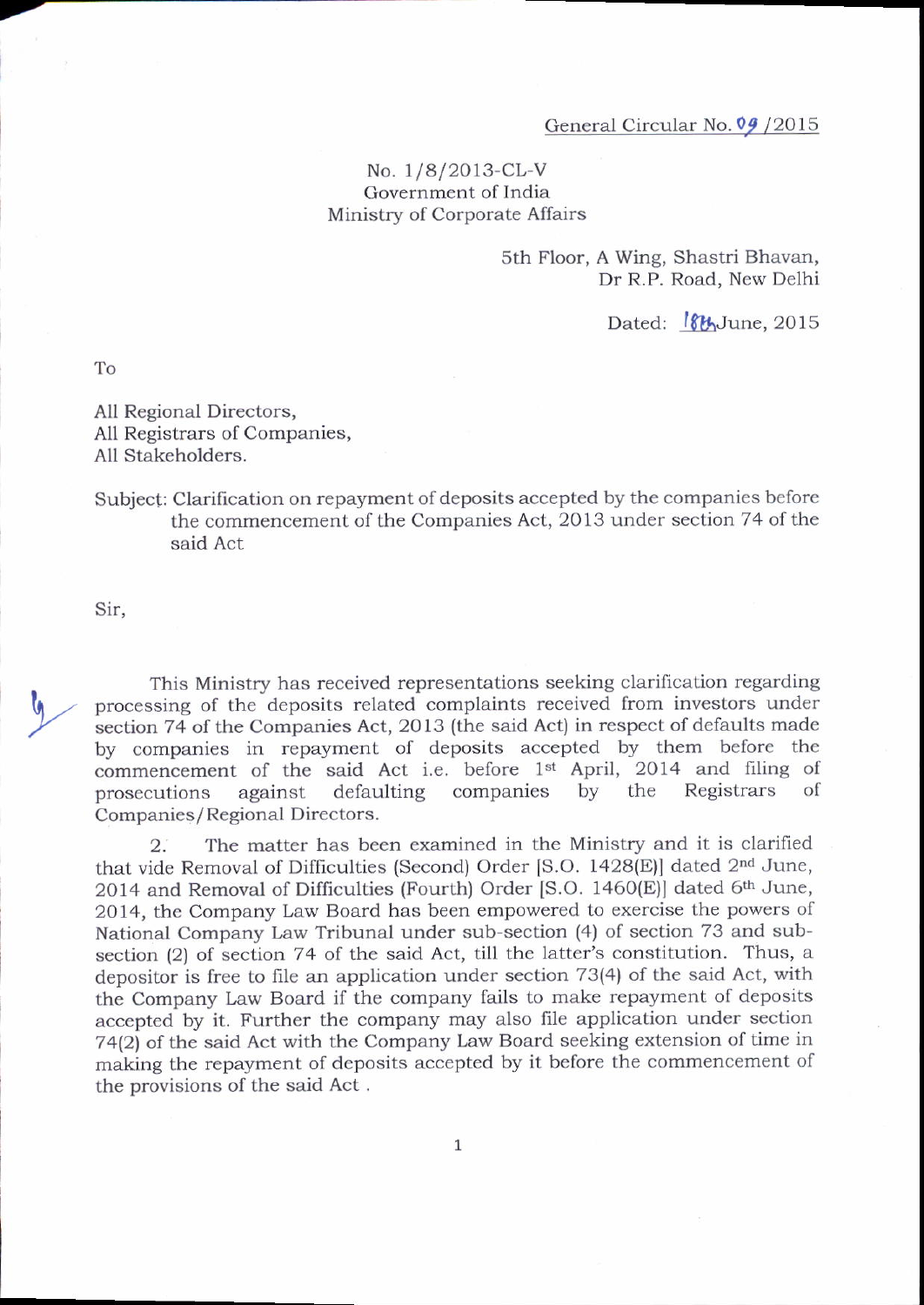## No.  $1/8/2013$ -CL-V Government of India Ministry of Corporate Affairs

sth Floor, A wing, Shastri Bhavan, Dr R.P. Road, New Delhi

Dated: **8th**June, 2015

To

7

All Regional Directors, A11 Registrars of companies, All Stakeholders.

## Subject: Clarification on repayment of deposits accepted by the companies before the commencement of the Companies Act, 2013 under section 74 of the said Act

Sir,

This Ministry has received representations seeking clarification regarding processing of the deposits related complaints received from investors under section 74 of the Companies Act, 2013 (the said Act) in respect of defaults made by companies in repayment of deposits accepted by them before the commencement of the said Act i.e. before 1<sup>st</sup> April, 2014 and filing of prosecutions against defaulting companies by the Registrars of against defaulting companies Companies/Regional Directors.

2. The matter has been examined in the Ministry and it is clarified that vide Removal of Difficulties (Second) Order [S.O. 1428(E)] dated 2<sup>nd</sup> June, 2014 and Removal of Difficulties (Fourth) Order [S.O. 1460 $(E)$ ] dated 6<sup>th</sup> June, 20 14, the Company Law Board has been empowered to exercise the powers of National Company taw Tribunal under sub-section (4) of section 73 and subsection (2) of section 74 of the said Act, till the latter's constitution. Thus, a depositor is free to file an application under section 73(4) of the said Act, with the Company Law Board if the company fails to make repayment of deposits accepted by it. Further the company may also file application under section 74(2) of the said Act with the Company Law Board seeking extension of time in making the repayment of deposits accepted by it before the commencement of the provisions of the said Act .

 $\mathbf 1$